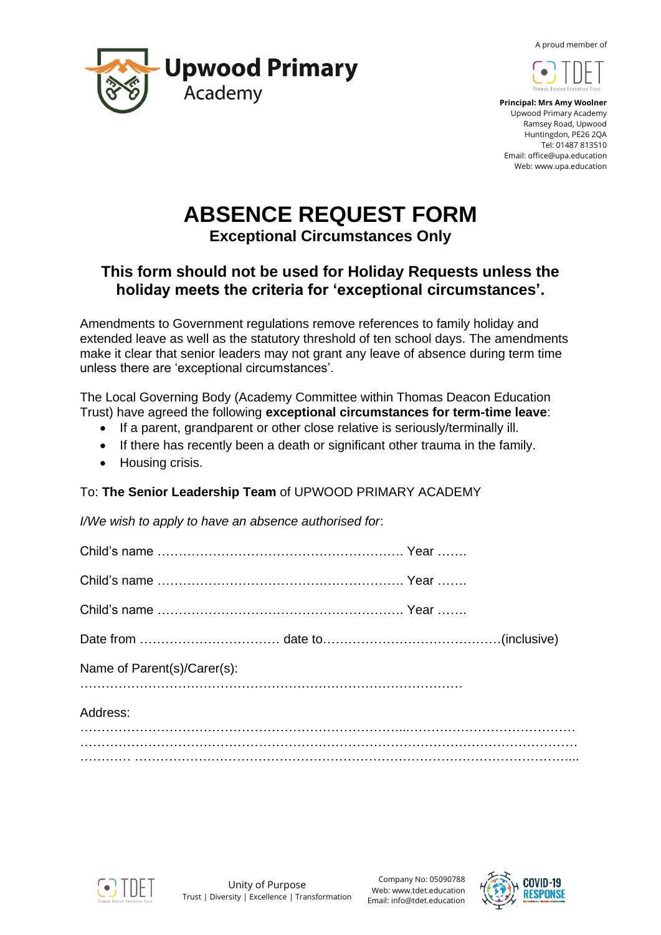A proud member of





 **Principal: Mrs Amy Woolner** Upwood Primary Academy Ramsey Road, Upwood Huntingdon, PE26 2QA Tel: 01487 813510 Email: office@upa.education Web: www.upa.education

# **ABSENCE REQUEST FORM**

**Exceptional Circumstances Only**

# **This form should not be used for Holiday Requests unless the holiday meets the criteria for 'exceptional circumstances'.**

Amendments to Government regulations remove references to family holiday and extended leave as well as the statutory threshold of ten school days. The amendments make it clear that senior leaders may not grant any leave of absence during term time unless there are 'exceptional circumstances'.

The Local Governing Body (Academy Committee within Thomas Deacon Education Trust) have agreed the following **exceptional circumstances for term-time leave**:

- If a parent, grandparent or other close relative is seriously/terminally ill.
- If there has recently been a death or significant other trauma in the family.
- Housing crisis.

### To: **The Senior Leadership Team** of UPWOOD PRIMARY ACADEMY

*I/We wish to apply to have an absence authorised for*:

| Name of Parent(s)/Carer(s): |  |
|-----------------------------|--|
| Address:                    |  |
|                             |  |
|                             |  |